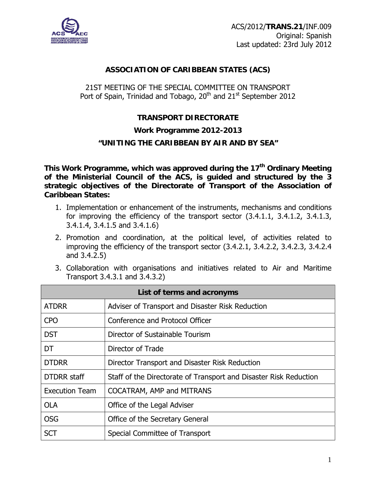

# **ASSOCIATION OF CARIBBEAN STATES (ACS)**

# 21ST MEETING OF THE SPECIAL COMMITTEE ON TRANSPORT Port of Spain, Trinidad and Tobago,  $20<sup>th</sup>$  and  $21<sup>st</sup>$  September 2012

# **TRANSPORT DIRECTORATE**

### **Work Programme 2012-2013**

# **"UNITING THE CARIBBEAN BY AIR AND BY SEA"**

This Work Programme, which was approved during the 17<sup>th</sup> Ordinary Meeting **of the Ministerial Council of the ACS, is guided and structured by the 3 strategic objectives of the Directorate of Transport of the Association of Caribbean States:** 

- 1. Implementation or enhancement of the instruments, mechanisms and conditions for improving the efficiency of the transport sector (3.4.1.1, 3.4.1.2, 3.4.1.3, 3.4.1.4, 3.4.1.5 and 3.4.1.6)
- 2. Promotion and coordination, at the political level, of activities related to improving the efficiency of the transport sector (3.4.2.1, 3.4.2.2, 3.4.2.3, 3.4.2.4 and 3.4.2.5)
- 3. Collaboration with organisations and initiatives related to Air and Maritime Transport 3.4.3.1 and 3.4.3.2)

| List of terms and acronyms |                                                                   |  |  |  |  |  |
|----------------------------|-------------------------------------------------------------------|--|--|--|--|--|
| <b>ATDRR</b>               | Adviser of Transport and Disaster Risk Reduction                  |  |  |  |  |  |
| <b>CPO</b>                 | Conference and Protocol Officer                                   |  |  |  |  |  |
| <b>DST</b>                 | Director of Sustainable Tourism                                   |  |  |  |  |  |
| DT                         | Director of Trade                                                 |  |  |  |  |  |
| <b>DTDRR</b>               | Director Transport and Disaster Risk Reduction                    |  |  |  |  |  |
| <b>DTDRR</b> staff         | Staff of the Directorate of Transport and Disaster Risk Reduction |  |  |  |  |  |
| <b>Execution Team</b>      | COCATRAM, AMP and MITRANS                                         |  |  |  |  |  |
| <b>OLA</b>                 | Office of the Legal Adviser                                       |  |  |  |  |  |
| <b>OSG</b>                 | Office of the Secretary General                                   |  |  |  |  |  |
| <b>SCT</b>                 | Special Committee of Transport                                    |  |  |  |  |  |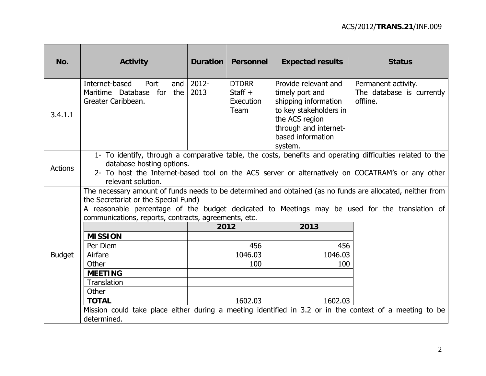| No.            | <b>Activity</b>                                                                                                                                                                                                                                                                                              | Duration      | <b>Personnel</b>                               | <b>Expected results</b>                                                                                                                                              | <b>Status</b>                                                |  |  |
|----------------|--------------------------------------------------------------------------------------------------------------------------------------------------------------------------------------------------------------------------------------------------------------------------------------------------------------|---------------|------------------------------------------------|----------------------------------------------------------------------------------------------------------------------------------------------------------------------|--------------------------------------------------------------|--|--|
| 3.4.1.1        | Internet-based<br>Port<br>and<br>Maritime Database for the<br>Greater Caribbean.                                                                                                                                                                                                                             | 2012-<br>2013 | <b>DTDRR</b><br>Staff $+$<br>Execution<br>Team | Provide relevant and<br>timely port and<br>shipping information<br>to key stakeholders in<br>the ACS region<br>through and internet-<br>based information<br>system. | Permanent activity.<br>The database is currently<br>offline. |  |  |
| <b>Actions</b> | 1- To identify, through a comparative table, the costs, benefits and operating difficulties related to the<br>database hosting options.<br>2- To host the Internet-based tool on the ACS server or alternatively on COCATRAM's or any other<br>relevant solution.                                            |               |                                                |                                                                                                                                                                      |                                                              |  |  |
|                | The necessary amount of funds needs to be determined and obtained (as no funds are allocated, neither from<br>the Secretariat or the Special Fund)<br>A reasonable percentage of the budget dedicated to Meetings may be used for the translation of<br>communications, reports, contracts, agreements, etc. |               |                                                |                                                                                                                                                                      |                                                              |  |  |
|                |                                                                                                                                                                                                                                                                                                              | 2012          |                                                | 2013                                                                                                                                                                 |                                                              |  |  |
|                | <b>MISSION</b>                                                                                                                                                                                                                                                                                               |               |                                                |                                                                                                                                                                      |                                                              |  |  |
|                | Per Diem                                                                                                                                                                                                                                                                                                     |               | 456                                            | 456                                                                                                                                                                  |                                                              |  |  |
| <b>Budget</b>  | Airfare                                                                                                                                                                                                                                                                                                      |               | 1046.03                                        | 1046.03                                                                                                                                                              |                                                              |  |  |
|                | Other                                                                                                                                                                                                                                                                                                        |               | 100                                            | 100                                                                                                                                                                  |                                                              |  |  |
|                | <b>MEETING</b>                                                                                                                                                                                                                                                                                               |               |                                                |                                                                                                                                                                      |                                                              |  |  |
|                | <b>Translation</b>                                                                                                                                                                                                                                                                                           |               |                                                |                                                                                                                                                                      |                                                              |  |  |
|                | Other                                                                                                                                                                                                                                                                                                        |               |                                                |                                                                                                                                                                      |                                                              |  |  |
|                | <b>TOTAL</b>                                                                                                                                                                                                                                                                                                 |               | 1602.03                                        | 1602.03                                                                                                                                                              |                                                              |  |  |
|                | Mission could take place either during a meeting identified in 3.2 or in the context of a meeting to be<br>determined.                                                                                                                                                                                       |               |                                                |                                                                                                                                                                      |                                                              |  |  |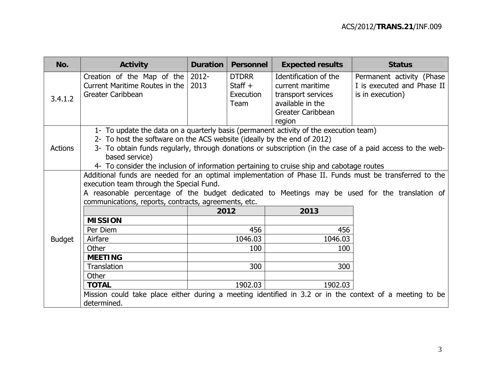| No.            | <b>Activity</b>                                                                                                                                                                                                                                                                                                                                                                              | <b>Duration</b> | <b>Personnel</b>                               | <b>Expected results</b>                                                                                            | <b>Status</b>                                                               |  |  |  |
|----------------|----------------------------------------------------------------------------------------------------------------------------------------------------------------------------------------------------------------------------------------------------------------------------------------------------------------------------------------------------------------------------------------------|-----------------|------------------------------------------------|--------------------------------------------------------------------------------------------------------------------|-----------------------------------------------------------------------------|--|--|--|
| 3.4.1.2        | Creation of the Map of the<br>Current Maritime Routes in the<br>Greater Caribbean                                                                                                                                                                                                                                                                                                            | 2012-<br>2013   | <b>DTDRR</b><br>Staff $+$<br>Execution<br>Team | Identification of the<br>current maritime<br>transport services<br>available in the<br>Greater Caribbean<br>region | Permanent activity (Phase<br>I is executed and Phase II<br>is in execution) |  |  |  |
| <b>Actions</b> | 1- To update the data on a quarterly basis (permanent activity of the execution team)<br>2- To host the software on the ACS website (ideally by the end of 2012)<br>3- To obtain funds regularly, through donations or subscription (in the case of a paid access to the web-<br>based service)<br>4- To consider the inclusion of information pertaining to cruise ship and cabotage routes |                 |                                                |                                                                                                                    |                                                                             |  |  |  |
|                | Additional funds are needed for an optimal implementation of Phase II. Funds must be transferred to the<br>execution team through the Special Fund.<br>A reasonable percentage of the budget dedicated to Meetings may be used for the translation of<br>communications, reports, contracts, agreements, etc.<br><b>MISSION</b><br>Per Diem                                                  | 2012            | 456                                            | 2013<br>456                                                                                                        |                                                                             |  |  |  |
| <b>Budget</b>  | Airfare<br>Other<br><b>MEETING</b>                                                                                                                                                                                                                                                                                                                                                           |                 | 1046.03<br>100                                 | 1046.03<br>100                                                                                                     |                                                                             |  |  |  |
|                | Translation<br>Other<br><b>TOTAL</b><br>Mission could take place either during a meeting identified in 3.2 or in the context of a meeting to be                                                                                                                                                                                                                                              |                 | 300<br>1902.03                                 | 300<br>1902.03                                                                                                     |                                                                             |  |  |  |
|                | determined.                                                                                                                                                                                                                                                                                                                                                                                  |                 |                                                |                                                                                                                    |                                                                             |  |  |  |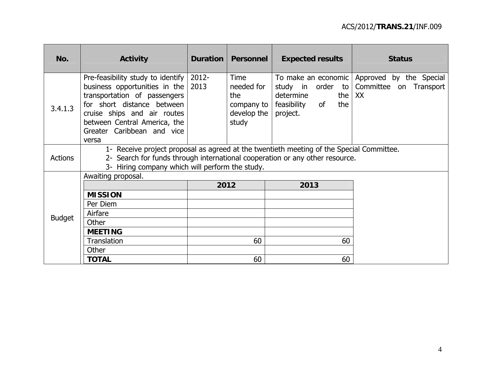| No.            | <b>Activity</b>                                                                                                                                                                                                                        | Duration      | Personnel                                                       | <b>Expected results</b>                                   |                      | <b>Status</b>                                                                 |
|----------------|----------------------------------------------------------------------------------------------------------------------------------------------------------------------------------------------------------------------------------------|---------------|-----------------------------------------------------------------|-----------------------------------------------------------|----------------------|-------------------------------------------------------------------------------|
| 3.4.1.3        | Pre-feasibility study to identify<br>business opportunities in the<br>transportation of passengers<br>for short distance between<br>cruise ships and air routes<br>between Central America, the<br>Greater Caribbean and vice<br>versa | 2012-<br>2013 | Time<br>needed for<br>the<br>company to<br>develop the<br>study | study in order<br>determine<br>feasibility of<br>project. | to  <br>the I<br>the | To make an economic   Approved by the Special<br>Committee on Transport<br>XX |
| <b>Actions</b> | 1- Receive project proposal as agreed at the twentieth meeting of the Special Committee.<br>2- Search for funds through international cooperation or any other resource.<br>3- Hiring company which will perform the study.            |               |                                                                 |                                                           |                      |                                                                               |
|                | Awaiting proposal.                                                                                                                                                                                                                     |               |                                                                 |                                                           |                      |                                                                               |
|                |                                                                                                                                                                                                                                        |               | 2012                                                            | 2013                                                      |                      |                                                                               |
|                | <b>MISSION</b>                                                                                                                                                                                                                         |               |                                                                 |                                                           |                      |                                                                               |
|                | Per Diem                                                                                                                                                                                                                               |               |                                                                 |                                                           |                      |                                                                               |
| <b>Budget</b>  | Airfare                                                                                                                                                                                                                                |               |                                                                 |                                                           |                      |                                                                               |
|                | Other                                                                                                                                                                                                                                  |               |                                                                 |                                                           |                      |                                                                               |
|                | <b>MEETING</b>                                                                                                                                                                                                                         |               |                                                                 |                                                           |                      |                                                                               |
|                | Translation                                                                                                                                                                                                                            |               | 60                                                              |                                                           | 60                   |                                                                               |
|                | Other                                                                                                                                                                                                                                  |               |                                                                 |                                                           |                      |                                                                               |
|                | <b>TOTAL</b>                                                                                                                                                                                                                           |               | 60                                                              |                                                           | 60                   |                                                                               |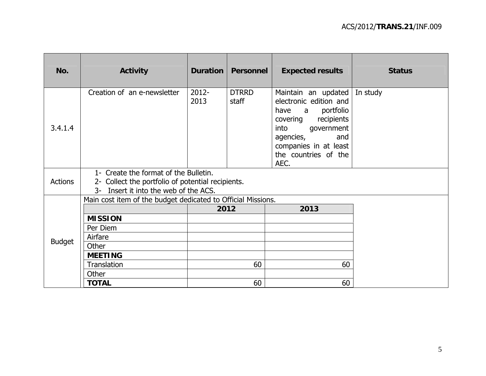| No.            | <b>Activity</b>                                                                                                                     | Duration         | <b>Personnel</b>      | <b>Expected results</b>                                                                                                                                                                           | <b>Status</b> |  |  |
|----------------|-------------------------------------------------------------------------------------------------------------------------------------|------------------|-----------------------|---------------------------------------------------------------------------------------------------------------------------------------------------------------------------------------------------|---------------|--|--|
| 3.4.1.4        | Creation of an e-newsletter                                                                                                         | $2012 -$<br>2013 | <b>DTRRD</b><br>staff | Maintain an updated<br>electronic edition and<br>a portfolio<br>have<br>recipients<br>covering<br>into<br>government<br>agencies,<br>and<br>companies in at least<br>the countries of the<br>AEC. | In study      |  |  |
| <b>Actions</b> | 1- Create the format of the Bulletin.<br>2- Collect the portfolio of potential recipients.<br>3- Insert it into the web of the ACS. |                  |                       |                                                                                                                                                                                                   |               |  |  |
|                | Main cost item of the budget dedicated to Official Missions.                                                                        |                  |                       |                                                                                                                                                                                                   |               |  |  |
|                |                                                                                                                                     | 2012             |                       |                                                                                                                                                                                                   |               |  |  |
|                | <b>MISSION</b>                                                                                                                      |                  |                       |                                                                                                                                                                                                   |               |  |  |
|                | Per Diem                                                                                                                            |                  |                       |                                                                                                                                                                                                   |               |  |  |
| <b>Budget</b>  | Airfare                                                                                                                             |                  |                       |                                                                                                                                                                                                   |               |  |  |
|                | Other                                                                                                                               |                  |                       |                                                                                                                                                                                                   |               |  |  |
|                | <b>MEETING</b>                                                                                                                      |                  |                       |                                                                                                                                                                                                   |               |  |  |
|                | Translation                                                                                                                         |                  | 60                    | 60                                                                                                                                                                                                |               |  |  |
|                | Other                                                                                                                               |                  |                       |                                                                                                                                                                                                   |               |  |  |
|                | <b>TOTAL</b>                                                                                                                        |                  | 60                    | 60                                                                                                                                                                                                |               |  |  |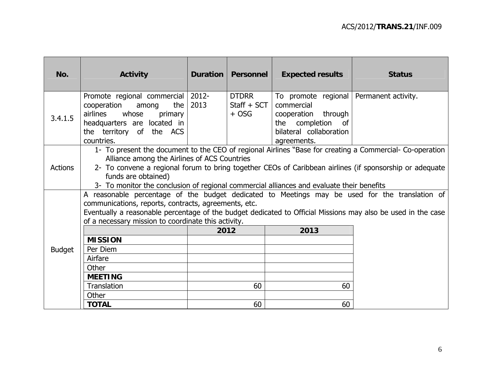| No.            | <b>Activity</b>                                                                                                                                                                                                                                                                                                                                                                         | Duration      | Personnel                                | <b>Expected results</b>                                                                                                                       | <b>Status</b> |  |
|----------------|-----------------------------------------------------------------------------------------------------------------------------------------------------------------------------------------------------------------------------------------------------------------------------------------------------------------------------------------------------------------------------------------|---------------|------------------------------------------|-----------------------------------------------------------------------------------------------------------------------------------------------|---------------|--|
|                |                                                                                                                                                                                                                                                                                                                                                                                         |               |                                          |                                                                                                                                               |               |  |
| 3.4.1.5        | Promote regional commercial<br>cooperation<br>the I<br>among<br>airlines whose<br>primary<br>headquarters are located in<br>the territory of the ACS<br>countries.                                                                                                                                                                                                                      | 2012-<br>2013 | <b>DTDRR</b><br>$Start + SCT$<br>$+$ OSG | To promote regional   Permanent activity.<br>commercial<br>cooperation through<br>the completion of<br>bilateral collaboration<br>agreements. |               |  |
| <b>Actions</b> | 1- To present the document to the CEO of regional Airlines "Base for creating a Commercial- Co-operation<br>Alliance among the Airlines of ACS Countries<br>2- To convene a regional forum to bring together CEOs of Caribbean airlines (if sponsorship or adequate<br>funds are obtained)<br>3- To monitor the conclusion of regional commercial alliances and evaluate their benefits |               |                                          |                                                                                                                                               |               |  |
|                | A reasonable percentage of the budget dedicated to Meetings may be used for the translation of<br>communications, reports, contracts, agreements, etc.<br>Eventually a reasonable percentage of the budget dedicated to Official Missions may also be used in the case<br>of a necessary mission to coordinate this activity.<br>2013<br>2012<br><b>MISSION</b>                         |               |                                          |                                                                                                                                               |               |  |
| <b>Budget</b>  | Per Diem<br>Airfare                                                                                                                                                                                                                                                                                                                                                                     |               |                                          |                                                                                                                                               |               |  |
|                | Other<br><b>MEETING</b>                                                                                                                                                                                                                                                                                                                                                                 |               |                                          |                                                                                                                                               |               |  |
|                | Translation<br>Other                                                                                                                                                                                                                                                                                                                                                                    |               | 60                                       | 60                                                                                                                                            |               |  |
|                | <b>TOTAL</b>                                                                                                                                                                                                                                                                                                                                                                            |               | 60                                       | 60                                                                                                                                            |               |  |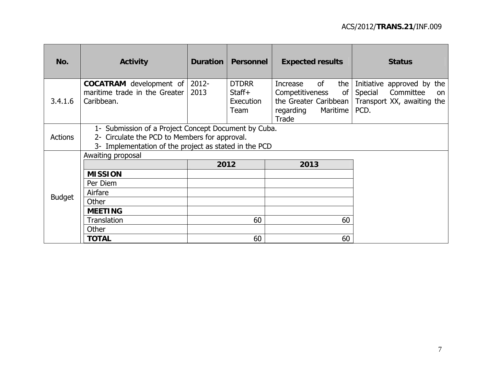| No.            | <b>Activity</b>                                                                                                                                                | <b>Duration</b>  | <b>Personnel</b>                            | <b>Expected results</b>                                                                                   | <b>Status</b>                                                                                         |  |
|----------------|----------------------------------------------------------------------------------------------------------------------------------------------------------------|------------------|---------------------------------------------|-----------------------------------------------------------------------------------------------------------|-------------------------------------------------------------------------------------------------------|--|
| 3.4.1.6        | <b>COCATRAM</b> development of<br>maritime trade in the Greater<br>Caribbean.                                                                                  | $2012 -$<br>2013 | <b>DTDRR</b><br>Staff+<br>Execution<br>Team | of<br>the<br>Increase<br>Competitiveness<br>of<br>the Greater Caribbean<br>regarding<br>Maritime<br>Trade | Initiative approved by the<br>Special<br>Committee<br><b>on</b><br>Transport XX, awaiting the<br>PCD. |  |
| <b>Actions</b> | 1- Submission of a Project Concept Document by Cuba.<br>2- Circulate the PCD to Members for approval.<br>3- Implementation of the project as stated in the PCD |                  |                                             |                                                                                                           |                                                                                                       |  |
|                | Awaiting proposal                                                                                                                                              |                  |                                             |                                                                                                           |                                                                                                       |  |
|                |                                                                                                                                                                | 2012             |                                             | 2013                                                                                                      |                                                                                                       |  |
|                | <b>MISSION</b>                                                                                                                                                 |                  |                                             |                                                                                                           |                                                                                                       |  |
|                | Per Diem                                                                                                                                                       |                  |                                             |                                                                                                           |                                                                                                       |  |
| <b>Budget</b>  | Airfare                                                                                                                                                        |                  |                                             |                                                                                                           |                                                                                                       |  |
|                | Other                                                                                                                                                          |                  |                                             |                                                                                                           |                                                                                                       |  |
|                | <b>MEETING</b>                                                                                                                                                 |                  |                                             |                                                                                                           |                                                                                                       |  |
|                | <b>Translation</b>                                                                                                                                             |                  | 60                                          | 60                                                                                                        |                                                                                                       |  |
|                | Other                                                                                                                                                          |                  |                                             |                                                                                                           |                                                                                                       |  |
|                | <b>TOTAL</b>                                                                                                                                                   |                  | 60                                          | 60                                                                                                        |                                                                                                       |  |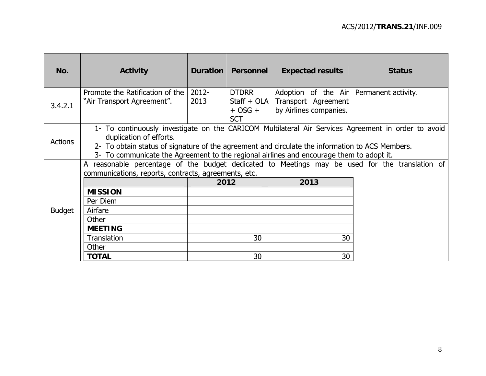| No.            | <b>Activity</b>                                                                                                                                                                                                                                                                                                               | Duration         | Personnel                                                  | <b>Expected results</b>                                                                    | <b>Status</b> |  |
|----------------|-------------------------------------------------------------------------------------------------------------------------------------------------------------------------------------------------------------------------------------------------------------------------------------------------------------------------------|------------------|------------------------------------------------------------|--------------------------------------------------------------------------------------------|---------------|--|
| 3.4.2.1        | Promote the Ratification of the<br>"Air Transport Agreement".                                                                                                                                                                                                                                                                 | $2012 -$<br>2013 | <b>DTDRR</b><br>Staff + $OLA$<br>$+$ OSG $+$<br><b>SCT</b> | Adoption of the Air   Permanent activity.<br>Transport Agreement<br>by Airlines companies. |               |  |
| <b>Actions</b> | 1- To continuously investigate on the CARICOM Multilateral Air Services Agreement in order to avoid<br>duplication of efforts.<br>2- To obtain status of signature of the agreement and circulate the information to ACS Members.<br>3- To communicate the Agreement to the regional airlines and encourage them to adopt it. |                  |                                                            |                                                                                            |               |  |
|                | A reasonable percentage of the budget dedicated to Meetings may be used for the translation of<br>communications, reports, contracts, agreements, etc.                                                                                                                                                                        |                  |                                                            |                                                                                            |               |  |
|                |                                                                                                                                                                                                                                                                                                                               | 2012             |                                                            | 2013                                                                                       |               |  |
|                | <b>MISSION</b>                                                                                                                                                                                                                                                                                                                |                  |                                                            |                                                                                            |               |  |
|                | Per Diem                                                                                                                                                                                                                                                                                                                      |                  |                                                            |                                                                                            |               |  |
| <b>Budget</b>  | Airfare                                                                                                                                                                                                                                                                                                                       |                  |                                                            |                                                                                            |               |  |
|                | Other                                                                                                                                                                                                                                                                                                                         |                  |                                                            |                                                                                            |               |  |
|                | <b>MEETING</b>                                                                                                                                                                                                                                                                                                                |                  |                                                            |                                                                                            |               |  |
|                | Translation                                                                                                                                                                                                                                                                                                                   |                  | 30                                                         | 30                                                                                         |               |  |
|                | Other                                                                                                                                                                                                                                                                                                                         |                  |                                                            |                                                                                            |               |  |
|                | <b>TOTAL</b>                                                                                                                                                                                                                                                                                                                  |                  | 30                                                         | 30                                                                                         |               |  |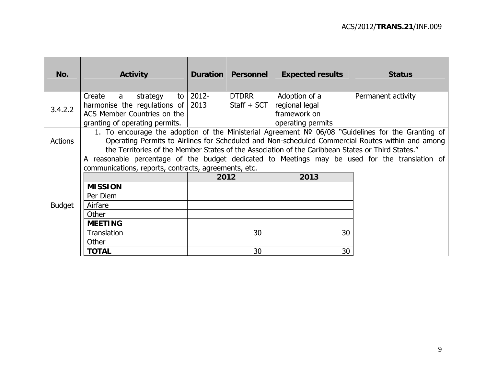| No.            | <b>Activity</b>                                                                                                                                                                                                                                                                                             | Duration   | Personnel                   | <b>Expected results</b>                                              | <b>Status</b>      |  |
|----------------|-------------------------------------------------------------------------------------------------------------------------------------------------------------------------------------------------------------------------------------------------------------------------------------------------------------|------------|-----------------------------|----------------------------------------------------------------------|--------------------|--|
| 3.4.2.2        | Create<br>strategy<br>a a<br>harmonise the regulations of $\vert$ 2013<br>ACS Member Countries on the<br>granting of operating permits.                                                                                                                                                                     | to   2012- | <b>DTDRR</b><br>Staff + SCT | Adoption of a<br>regional legal<br>framework on<br>operating permits | Permanent activity |  |
| <b>Actions</b> | 1. To encourage the adoption of the Ministerial Agreement Nº 06/08 "Guidelines for the Granting of<br>Operating Permits to Airlines for Scheduled and Non-scheduled Commercial Routes within and among<br>the Territories of the Member States of the Association of the Caribbean States or Third States." |            |                             |                                                                      |                    |  |
|                | A reasonable percentage of the budget dedicated to Meetings may be used for the translation of<br>communications, reports, contracts, agreements, etc.                                                                                                                                                      |            | 2012                        | 2013                                                                 |                    |  |
|                | <b>MISSION</b>                                                                                                                                                                                                                                                                                              |            |                             |                                                                      |                    |  |
|                | Per Diem                                                                                                                                                                                                                                                                                                    |            |                             |                                                                      |                    |  |
| <b>Budget</b>  | Airfare                                                                                                                                                                                                                                                                                                     |            |                             |                                                                      |                    |  |
|                | Other                                                                                                                                                                                                                                                                                                       |            |                             |                                                                      |                    |  |
|                | <b>MEETING</b>                                                                                                                                                                                                                                                                                              |            |                             |                                                                      |                    |  |
|                | <b>Translation</b><br>Other                                                                                                                                                                                                                                                                                 |            | 30                          | 30                                                                   |                    |  |
|                | <b>TOTAL</b>                                                                                                                                                                                                                                                                                                |            | 30                          | 30                                                                   |                    |  |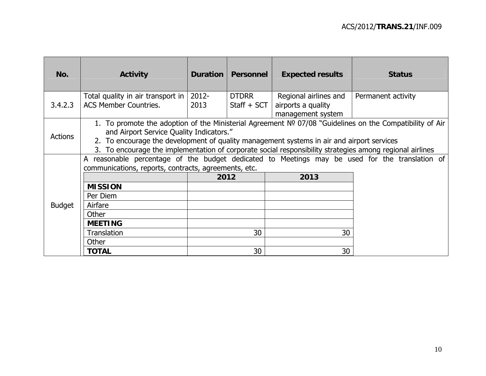| No.            | <b>Activity</b>                                                                                                                                                                                                                                                                                                                                                  | Duration         | Personnel                     | <b>Expected results</b>                                          | <b>Status</b>      |  |  |
|----------------|------------------------------------------------------------------------------------------------------------------------------------------------------------------------------------------------------------------------------------------------------------------------------------------------------------------------------------------------------------------|------------------|-------------------------------|------------------------------------------------------------------|--------------------|--|--|
| 3.4.2.3        | Total quality in air transport in<br><b>ACS Member Countries.</b>                                                                                                                                                                                                                                                                                                | $2012 -$<br>2013 | <b>DTDRR</b><br>$Start + SCT$ | Regional airlines and<br>airports a quality<br>management system | Permanent activity |  |  |
| <b>Actions</b> | 1. To promote the adoption of the Ministerial Agreement Nº 07/08 "Guidelines on the Compatibility of Air<br>and Airport Service Quality Indicators."<br>2. To encourage the development of quality management systems in air and airport services<br>To encourage the implementation of corporate social responsibility strategies among regional airlines<br>3. |                  |                               |                                                                  |                    |  |  |
|                | A reasonable percentage of the budget dedicated to Meetings may be used for the translation of<br>communications, reports, contracts, agreements, etc.<br>2012<br>2013                                                                                                                                                                                           |                  |                               |                                                                  |                    |  |  |
|                | <b>MISSION</b>                                                                                                                                                                                                                                                                                                                                                   |                  |                               |                                                                  |                    |  |  |
|                | Per Diem                                                                                                                                                                                                                                                                                                                                                         |                  |                               |                                                                  |                    |  |  |
| <b>Budget</b>  | Airfare                                                                                                                                                                                                                                                                                                                                                          |                  |                               |                                                                  |                    |  |  |
|                | Other<br><b>MEETING</b>                                                                                                                                                                                                                                                                                                                                          |                  |                               |                                                                  |                    |  |  |
|                | Translation                                                                                                                                                                                                                                                                                                                                                      |                  | 30                            | 30                                                               |                    |  |  |
|                | Other                                                                                                                                                                                                                                                                                                                                                            |                  |                               |                                                                  |                    |  |  |
|                | <b>TOTAL</b>                                                                                                                                                                                                                                                                                                                                                     |                  | 30                            | 30                                                               |                    |  |  |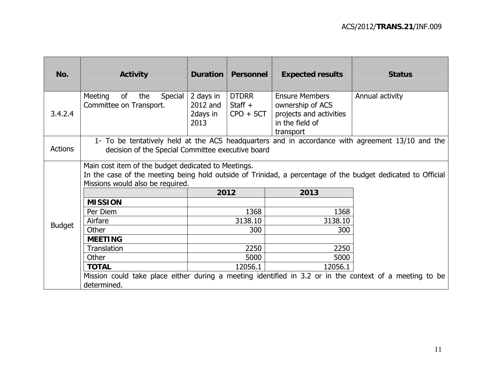| No.            | <b>Activity</b>                                                                                                                                                                                        | Duration                                  | <b>Personnel</b>                         | <b>Expected results</b>                                                                              | <b>Status</b>   |  |  |  |
|----------------|--------------------------------------------------------------------------------------------------------------------------------------------------------------------------------------------------------|-------------------------------------------|------------------------------------------|------------------------------------------------------------------------------------------------------|-----------------|--|--|--|
| 3.4.2.4        | Meeting<br>of<br>the<br><b>Special</b><br>Committee on Transport.                                                                                                                                      | 2 days in<br>2012 and<br>2days in<br>2013 | <b>DTDRR</b><br>Staff $+$<br>$CPO + SCT$ | <b>Ensure Members</b><br>ownership of ACS<br>projects and activities<br>in the field of<br>transport | Annual activity |  |  |  |
| <b>Actions</b> | 1- To be tentatively held at the ACS headquarters and in accordance with agreement 13/10 and the<br>decision of the Special Committee executive board                                                  |                                           |                                          |                                                                                                      |                 |  |  |  |
|                | Main cost item of the budget dedicated to Meetings.<br>In the case of the meeting being hold outside of Trinidad, a percentage of the budget dedicated to Official<br>Missions would also be required. |                                           |                                          |                                                                                                      |                 |  |  |  |
|                |                                                                                                                                                                                                        | 2012                                      |                                          | 2013                                                                                                 |                 |  |  |  |
|                | <b>MISSION</b>                                                                                                                                                                                         |                                           |                                          |                                                                                                      |                 |  |  |  |
|                | Per Diem                                                                                                                                                                                               |                                           | 1368                                     | 1368                                                                                                 |                 |  |  |  |
| <b>Budget</b>  | Airfare                                                                                                                                                                                                |                                           | 3138.10                                  | 3138.10                                                                                              |                 |  |  |  |
|                | Other                                                                                                                                                                                                  |                                           | 300                                      | 300                                                                                                  |                 |  |  |  |
|                | <b>MEETING</b>                                                                                                                                                                                         |                                           |                                          |                                                                                                      |                 |  |  |  |
|                | <b>Translation</b>                                                                                                                                                                                     |                                           | 2250                                     | 2250                                                                                                 |                 |  |  |  |
|                | Other                                                                                                                                                                                                  |                                           | 5000                                     | 5000                                                                                                 |                 |  |  |  |
|                | <b>TOTAL</b>                                                                                                                                                                                           |                                           | 12056.1                                  | 12056.1                                                                                              |                 |  |  |  |
|                | Mission could take place either during a meeting identified in 3.2 or in the context of a meeting to be<br>determined.                                                                                 |                                           |                                          |                                                                                                      |                 |  |  |  |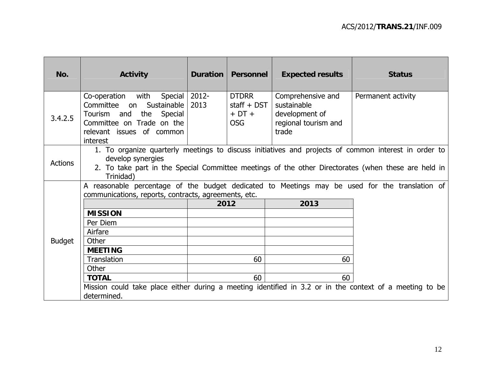| <b>Status</b>                                                                                                                                                                                                                                                   |  |  |  |  |  |
|-----------------------------------------------------------------------------------------------------------------------------------------------------------------------------------------------------------------------------------------------------------------|--|--|--|--|--|
| Permanent activity                                                                                                                                                                                                                                              |  |  |  |  |  |
| 1. To organize quarterly meetings to discuss initiatives and projects of common interest in order to<br>develop synergies<br><b>Actions</b><br>2. To take part in the Special Committee meetings of the other Directorates (when these are held in<br>Trinidad) |  |  |  |  |  |
| A reasonable percentage of the budget dedicated to Meetings may be used for the translation of                                                                                                                                                                  |  |  |  |  |  |
|                                                                                                                                                                                                                                                                 |  |  |  |  |  |
|                                                                                                                                                                                                                                                                 |  |  |  |  |  |
|                                                                                                                                                                                                                                                                 |  |  |  |  |  |
|                                                                                                                                                                                                                                                                 |  |  |  |  |  |
|                                                                                                                                                                                                                                                                 |  |  |  |  |  |
|                                                                                                                                                                                                                                                                 |  |  |  |  |  |
|                                                                                                                                                                                                                                                                 |  |  |  |  |  |
|                                                                                                                                                                                                                                                                 |  |  |  |  |  |
| Mission could take place either during a meeting identified in 3.2 or in the context of a meeting to be                                                                                                                                                         |  |  |  |  |  |
|                                                                                                                                                                                                                                                                 |  |  |  |  |  |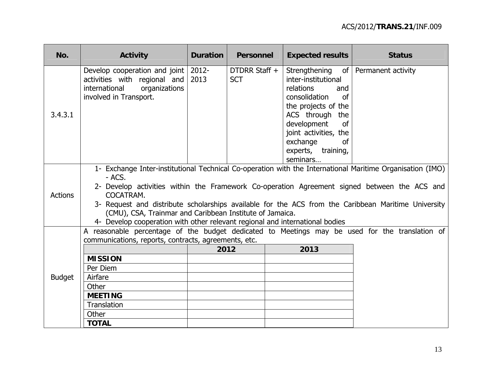| No.            | <b>Activity</b>                                                                                                                                                                                                                                                                                                                                                                                                                                                                     | <b>Duration</b> | <b>Personnel</b>            | <b>Expected results</b>                                                                                                                                                                                                                                  | <b>Status</b> |  |  |  |  |
|----------------|-------------------------------------------------------------------------------------------------------------------------------------------------------------------------------------------------------------------------------------------------------------------------------------------------------------------------------------------------------------------------------------------------------------------------------------------------------------------------------------|-----------------|-----------------------------|----------------------------------------------------------------------------------------------------------------------------------------------------------------------------------------------------------------------------------------------------------|---------------|--|--|--|--|
| 3.4.3.1        | Develop cooperation and joint<br>activities with regional and<br>organizations<br>international<br>involved in Transport.                                                                                                                                                                                                                                                                                                                                                           | 2012-<br>2013   | DTDRR Staff +<br><b>SCT</b> | Strengthening of Permanent activity<br>inter-institutional<br>relations<br>and<br>consolidation<br>of<br>the projects of the<br>ACS through the<br>development<br>of<br>joint activities, the<br>exchange<br><b>of</b><br>experts, training,<br>seminars |               |  |  |  |  |
| <b>Actions</b> | 1- Exchange Inter-institutional Technical Co-operation with the International Maritime Organisation (IMO)<br>- ACS.<br>2- Develop activities within the Framework Co-operation Agreement signed between the ACS and<br>COCATRAM.<br>3- Request and distribute scholarships available for the ACS from the Caribbean Maritime University<br>(CMU), CSA, Trainmar and Caribbean Institute of Jamaica.<br>4- Develop cooperation with other relevant regional and international bodies |                 |                             |                                                                                                                                                                                                                                                          |               |  |  |  |  |
|                | A reasonable percentage of the budget dedicated to Meetings may be used for the translation of<br>communications, reports, contracts, agreements, etc.                                                                                                                                                                                                                                                                                                                              |                 |                             |                                                                                                                                                                                                                                                          |               |  |  |  |  |
| <b>Budget</b>  |                                                                                                                                                                                                                                                                                                                                                                                                                                                                                     | 2012            |                             | 2013                                                                                                                                                                                                                                                     |               |  |  |  |  |
|                | <b>MISSION</b>                                                                                                                                                                                                                                                                                                                                                                                                                                                                      |                 |                             |                                                                                                                                                                                                                                                          |               |  |  |  |  |
|                | Per Diem                                                                                                                                                                                                                                                                                                                                                                                                                                                                            |                 |                             |                                                                                                                                                                                                                                                          |               |  |  |  |  |
|                | Airfare                                                                                                                                                                                                                                                                                                                                                                                                                                                                             |                 |                             |                                                                                                                                                                                                                                                          |               |  |  |  |  |
|                | Other                                                                                                                                                                                                                                                                                                                                                                                                                                                                               |                 |                             |                                                                                                                                                                                                                                                          |               |  |  |  |  |
|                | <b>MEETING</b><br>Translation                                                                                                                                                                                                                                                                                                                                                                                                                                                       |                 |                             |                                                                                                                                                                                                                                                          |               |  |  |  |  |
|                | Other                                                                                                                                                                                                                                                                                                                                                                                                                                                                               |                 |                             |                                                                                                                                                                                                                                                          |               |  |  |  |  |
|                | <b>TOTAL</b>                                                                                                                                                                                                                                                                                                                                                                                                                                                                        |                 |                             |                                                                                                                                                                                                                                                          |               |  |  |  |  |